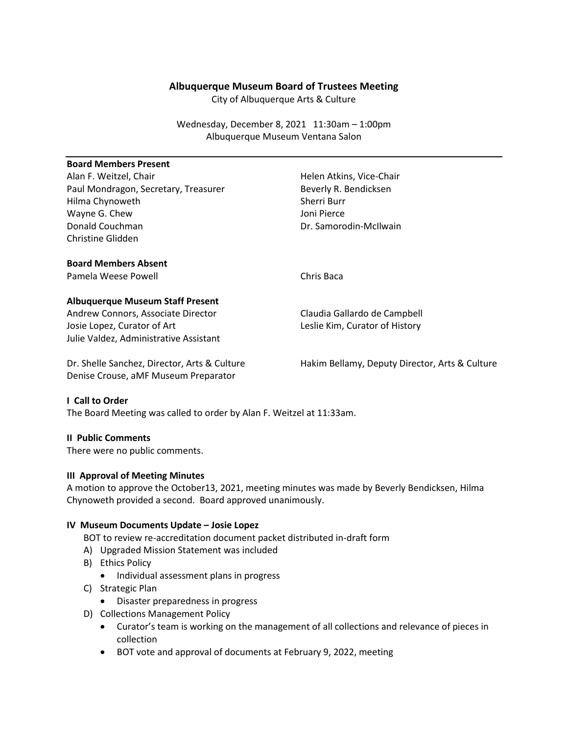### **Albuquerque Museum Board of Trustees Meeting**

City of Albuquerque Arts & Culture

Wednesday, December 8, 2021 11:30am – 1:00pm Albuquerque Museum Ventana Salon

### **Board Members Present**

Alan F. Weitzel, Chair **Helen Atkins, Vice-Chair Helen Atkins**, Vice-Chair Paul Mondragon, Secretary, Treasurer **Beverly R. Bendicksen** Hilma Chynoweth Sherri Burr Wayne G. Chew **Joni Pierce** Donald Couchman Donald Couchman Dr. Samorodin-McIlwain Christine Glidden

### **Board Members Absent**

Pamela Weese Powell **Chris Baca** 

### **Albuquerque Museum Staff Present**

Andrew Connors, Associate Director Claudia Gallardo de Campbell Josie Lopez, Curator of Art **Leslie Kim, Curator of History** Leslie Kim, Curator of History Julie Valdez, Administrative Assistant

Denise Crouse, aMF Museum Preparator

Dr. Shelle Sanchez, Director, Arts & Culture Hakim Bellamy, Deputy Director, Arts & Culture

#### **I Call to Order**

The Board Meeting was called to order by Alan F. Weitzel at 11:33am.

#### **II Public Comments**

There were no public comments.

#### **III Approval of Meeting Minutes**

A motion to approve the October13, 2021, meeting minutes was made by Beverly Bendicksen, Hilma Chynoweth provided a second. Board approved unanimously.

#### **IV Museum Documents Update – Josie Lopez**

BOT to review re-accreditation document packet distributed in-draft form

- A) Upgraded Mission Statement was included
- B) Ethics Policy
	- Individual assessment plans in progress
- C) Strategic Plan
	- Disaster preparedness in progress
- D) Collections Management Policy
	- Curator's team is working on the management of all collections and relevance of pieces in collection
	- BOT vote and approval of documents at February 9, 2022, meeting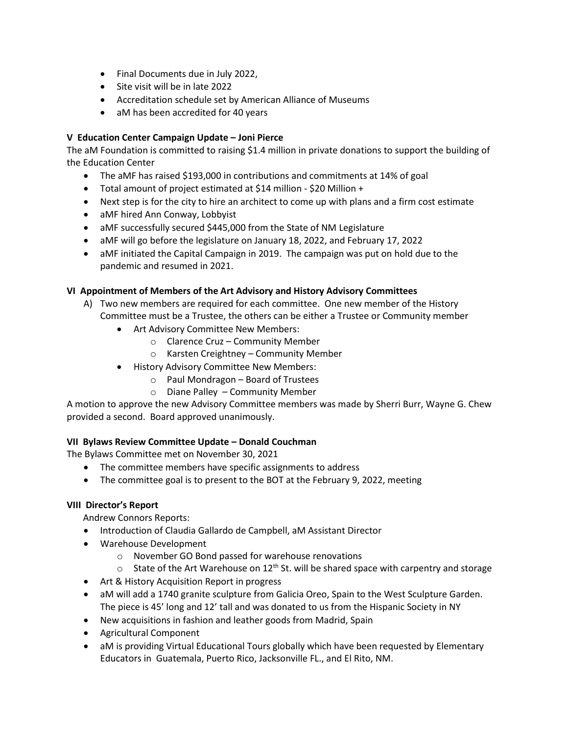- Final Documents due in July 2022,
- Site visit will be in late 2022
- Accreditation schedule set by American Alliance of Museums
- aM has been accredited for 40 years

# **V Education Center Campaign Update – Joni Pierce**

The aM Foundation is committed to raising \$1.4 million in private donations to support the building of the Education Center

- The aMF has raised \$193,000 in contributions and commitments at 14% of goal
- Total amount of project estimated at \$14 million \$20 Million +
- Next step is for the city to hire an architect to come up with plans and a firm cost estimate
- aMF hired Ann Conway, Lobbyist
- aMF successfully secured \$445,000 from the State of NM Legislature
- aMF will go before the legislature on January 18, 2022, and February 17, 2022
- aMF initiated the Capital Campaign in 2019. The campaign was put on hold due to the pandemic and resumed in 2021.

# **VI Appointment of Members of the Art Advisory and History Advisory Committees**

- A) Two new members are required for each committee. One new member of the History Committee must be a Trustee, the others can be either a Trustee or Community member
	- Art Advisory Committee New Members:
		- o Clarence Cruz Community Member
		- o Karsten Creightney Community Member
	- History Advisory Committee New Members:
		- o Paul Mondragon Board of Trustees
			- o Diane Palley Community Member

A motion to approve the new Advisory Committee members was made by Sherri Burr, Wayne G. Chew provided a second. Board approved unanimously.

# **VII Bylaws Review Committee Update – Donald Couchman**

The Bylaws Committee met on November 30, 2021

- The committee members have specific assignments to address
- The committee goal is to present to the BOT at the February 9, 2022, meeting

# **VIII Director's Report**

Andrew Connors Reports:

- Introduction of Claudia Gallardo de Campbell, aM Assistant Director
- Warehouse Development
	- o November GO Bond passed for warehouse renovations
	- $\circ$  State of the Art Warehouse on 12<sup>th</sup> St. will be shared space with carpentry and storage
- Art & History Acquisition Report in progress
- aM will add a 1740 granite sculpture from Galicia Oreo, Spain to the West Sculpture Garden. The piece is 45' long and 12' tall and was donated to us from the Hispanic Society in NY
- New acquisitions in fashion and leather goods from Madrid, Spain
- Agricultural Component
- aM is providing Virtual Educational Tours globally which have been requested by Elementary Educators in Guatemala, Puerto Rico, Jacksonville FL., and El Rito, NM.